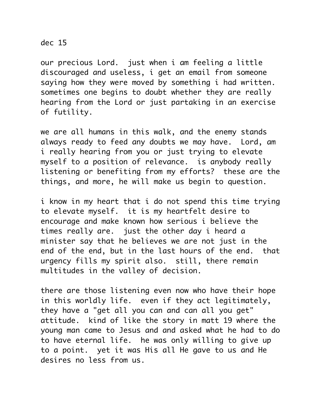## dec 15

our precious Lord. just when i am feeling a little discouraged and useless, i get an email from someone saying how they were moved by something i had written. sometimes one begins to doubt whether they are really hearing from the Lord or just partaking in an exercise of futility.

we are all humans in this walk, and the enemy stands always ready to feed any doubts we may have. Lord, am i really hearing from you or just trying to elevate myself to a position of relevance. is anybody really listening or benefiting from my efforts? these are the things, and more, he will make us begin to question.

i know in my heart that i do not spend this time trying to elevate myself. it is my heartfelt desire to encourage and make known how serious i believe the times really are. just the other day i heard a minister say that he believes we are not just in the end of the end, but in the last hours of the end. that urgency fills my spirit also. still, there remain multitudes in the valley of decision.

there are those listening even now who have their hope in this worldly life. even if they act legitimately, they have a "get all you can and can all you get" attitude. kind of like the story in matt 19 where the young man came to Jesus and and asked what he had to do to have eternal life. he was only willing to give up to a point. yet it was His all He gave to us and He desires no less from us.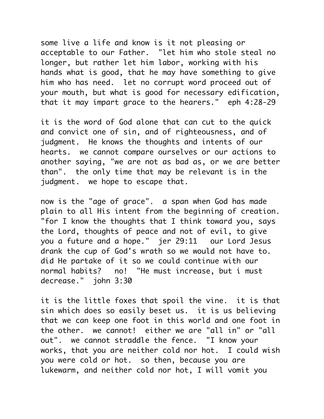some live a life and know is it not pleasing or acceptable to our Father. "let him who stole steal no longer, but rather let him labor, working with his hands what is good, that he may have something to give him who has need. let no corrupt word proceed out of your mouth, but what is good for necessary edification, that it may impart grace to the hearers." eph 4:28-29

it is the word of God alone that can cut to the quick and convict one of sin, and of righteousness, and of judgment. He knows the thoughts and intents of our hearts. we cannot compare ourselves or our actions to another saying, "we are not as bad as, or we are better than". the only time that may be relevant is in the judgment. we hope to escape that.

now is the "age of grace". a span when God has made plain to all His intent from the beginning of creation. "for I know the thoughts that I think toward you, says the Lord, thoughts of peace and not of evil, to give you a future and a hope." jer 29:11 our Lord Jesus drank the cup of God's wrath so we would not have to. did He partake of it so we could continue with our normal habits? no! "He must increase, but i must decrease." john 3:30

it is the little foxes that spoil the vine. it is that sin which does so easily beset us. it is us believing that we can keep one foot in this world and one foot in the other. we cannot! either we are "all in" or "all out". we cannot straddle the fence. "I know your works, that you are neither cold nor hot. I could wish you were cold or hot. so then, because you are lukewarm, and neither cold nor hot, I will vomit you